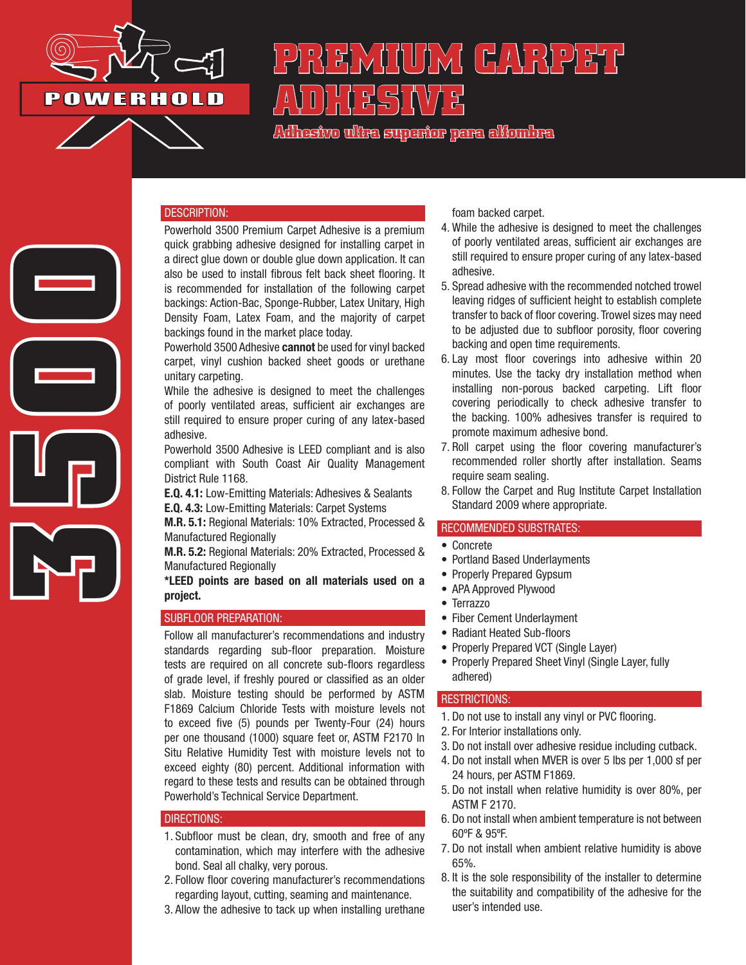

**3500**

# **PREMIUM CARPET ADHESIVE**

**Adhesivo ultra superior para alfombra**

#### DESCRIPTION:

Powerhold 3500 Premium Carpet Adhesive is a premium quick grabbing adhesive designed for installing carpet in a direct glue down or double glue down application. It can also be used to install fibrous felt back sheet flooring. It is recommended for installation of the following carpet backings: Action-Bac, Sponge-Rubber, Latex Unitary, High Density Foam, Latex Foam, and the majority of carpet backings found in the market place today.

Powerhold 3500 Adhesive **cannot** be used for vinyl backed carpet, vinyl cushion backed sheet goods or urethane unitary carpeting.

While the adhesive is designed to meet the challenges of poorly ventilated areas, sufficient air exchanges are still required to ensure proper curing of any latex-based adhesive.

Powerhold 3500 Adhesive is LEED compliant and is also compliant with South Coast Air Quality Management District Rule 1168.

E.Q. 4.1: Low-Emitting Materials: Adhesives & Sealants E.Q. 4.3: Low-Emitting Materials: Carpet Systems

M.R. 5.1: Regional Materials: 10% Extracted, Processed & Manufactured Regionally

M.R. 5.2: Regional Materials: 20% Extracted, Processed & Manufactured Regionally

\*LEED points are based on all materials used on a project.

#### SUBFLOOR PREPARATION:

Follow all manufacturer's recommendations and industry standards regarding sub-floor preparation. Moisture tests are required on all concrete sub-floors regardless of grade level, if freshly poured or classified as an older slab. Moisture testing should be performed by ASTM F1869 Calcium Chloride Tests with moisture levels not to exceed five (5) pounds per Twenty-Four (24) hours per one thousand (1000) square feet or, ASTM F2170 In Situ Relative Humidity Test with moisture levels not to exceed eighty (80) percent. Additional information with regard to these tests and results can be obtained through Powerhold's Technical Service Department.

## DIRECTIONS:

- 1. Subfloor must be clean, dry, smooth and free of any contamination, which may interfere with the adhesive bond. Seal all chalky, very porous.
- 2. Follow floor covering manufacturer's recommendations regarding layout, cutting, seaming and maintenance.
- 3. Allow the adhesive to tack up when installing urethane

foam backed carpet.

- 4. While the adhesive is designed to meet the challenges of poorly ventilated areas, sufficient air exchanges are still required to ensure proper curing of any latex-based adhesive.
- 5. Spread adhesive with the recommended notched trowel leaving ridges of sufficient height to establish complete transfer to back of floor covering. Trowel sizes may need to be adjusted due to subfloor porosity, floor covering backing and open time requirements.
- 6. Lay most floor coverings into adhesive within 20 minutes. Use the tacky dry installation method when installing non-porous backed carpeting. Lift floor covering periodically to check adhesive transfer to the backing. 100% adhesives transfer is required to promote maximum adhesive bond.
- 7. Roll carpet using the floor covering manufacturer's recommended roller shortly after installation. Seams require seam sealing.
- 8. Follow the Carpet and Rug Institute Carpet Installation Standard 2009 where appropriate.

#### RECOMMENDED SUBSTRATES:

- Concrete
- Portland Based Underlayments
- Properly Prepared Gypsum
- APA Approved Plywood
- Terrazzo
- Fiber Cement Underlayment
- Radiant Heated Sub-floors
- Properly Prepared VCT (Single Layer)
- Properly Prepared Sheet Vinyl (Single Layer, fully adhered)

#### RESTRICTIONS:

- 1. Do not use to install any vinyl or PVC flooring.
- 2. For Interior installations only.
- 3. Do not install over adhesive residue including cutback.
- 4. Do not install when MVER is over 5 lbs per 1,000 sf per 24 hours, per ASTM F1869.
- 5. Do not install when relative humidity is over 80%, per ASTM F 2170.
- 6. Do not install when ambient temperature is not between 60ºF & 95ºF.
- 7. Do not install when ambient relative humidity is above 65%.
- 8. It is the sole responsibility of the installer to determine the suitability and compatibility of the adhesive for the user's intended use.